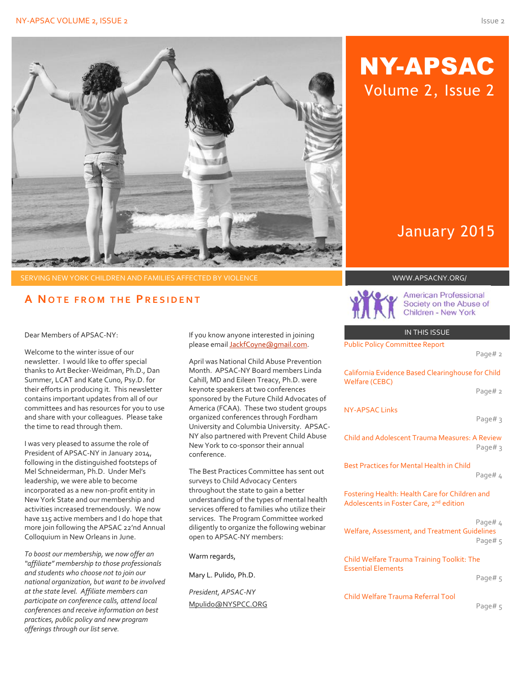

SERVING NEW YORK CHILDREN AND FAMILIES AFFECTED BY VIOLENCE WWW.APSACNY.ORG/

# **A N O T E F R O M T H E P R E S I D E N T**

Dear Members of APSAC-NY:

Welcome to the winter issue of our newsletter. I would like to offer special thanks to Art Becker-Weidman, Ph.D., Dan Summer, LCAT and Kate Cuno, Psy.D. for their efforts in producing it. This newsletter contains important updates from all of our committees and has resources for you to use and share with your colleagues. Please take the time to read through them.

I was very pleased to assume the role of President of APSAC-NY in January 2014, following in the distinguished footsteps of Mel Schneiderman, Ph.D. Under Mel's leadership, we were able to become incorporated as a new non-profit entity in New York State and our membership and activities increased tremendously. We now have 115 active members and I do hope that more join following the APSAC 22'nd Annual Colloquium in New Orleans in June.

*To boost our membership, we now offer an "affiliate" membership to those professionals and students who choose not to join our national organization, but want to be involved at the state level. Affiliate members can participate on conference calls, attend local conferences and receive information on best practices, public policy and new program offerings through our list serve.* 

If you know anyone interested in joining please emai[l JackfCoyne@gmail.com.](mailto:JackfCoyne@gmail.com)

April was National Child Abuse Prevention Month. APSAC-NY Board members Linda Cahill, MD and Eileen Treacy, Ph.D. were keynote speakers at two conferences sponsored by the Future Child Advocates of America (FCAA). These two student groups organized conferences through Fordham University and Columbia University. APSAC-NY also partnered with Prevent Child Abuse New York to co-sponsor their annual conference.

The Best Practices Committee has sent out surveys to Child Advocacy Centers throughout the state to gain a better understanding of the types of mental health services offered to families who utilize their services. The Program Committee worked diligently to organize the following webinar open to APSAC-NY members:

Warm regards,

Mary L. Pulido, Ph.D.

*President, APSAC-NY* Mpulido@NYSPCC.ORG

# NY-APSAC Volume 2, Issue 2

# January 2015



**American Professional** Society on the Abuse of **Children - New York** 

IN THIS ISSUE

Public Policy Committee Report

#### Page# 2

California Evidence Based Clearinghouse for Child Welfare (CEBC) Page# 2 NY-APSAC Links

Page# 3

Child and Adolescent Trauma Measures: A Review Page# 3

Best Practices for Mental Health in Child

#### Page# 4

Fostering Health: Health Care for Children and Adolescents in Foster Care, 2<sup>nd</sup> edition

#### Page# 4

Welfare, Assessment, and Treatment Guidelines Page# 5

Child Welfare Trauma Training Toolkit: The Essential Elements

#### Page# 5

Child Welfare Trauma Referral Tool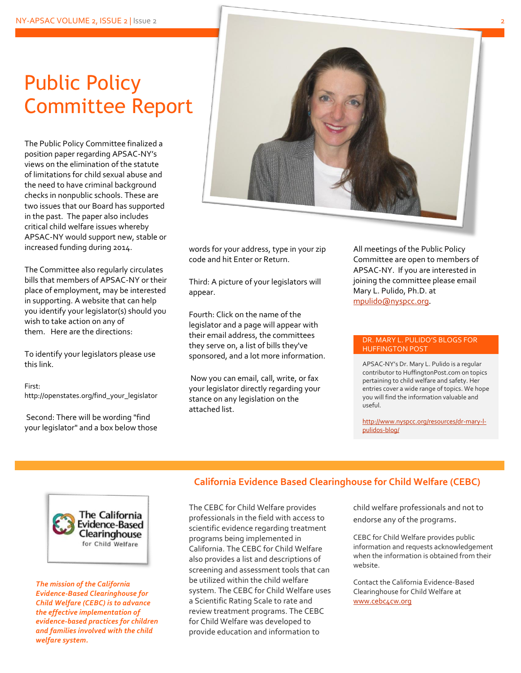# Public Policy Committee Report

The Public Policy Committee finalized a position paper regarding APSAC-NY's views on the elimination of the statute of limitations for child sexual abuse and the need to have criminal background checks in nonpublic schools. These are two issues that our Board has supported in the past. The paper also includes critical child welfare issues whereby APSAC-NY would support new, stable or increased funding during 2014.

The Committee also regularly circulates bills that members of APSAC-NY or their place of employment, may be interested in supporting. A website that can help you identify your legislator(s) should you wish to take action on any of them. Here are the directions:

To identify your legislators please use this link.

#### First:

http://openstates.org/find\_your\_legislator

Second: There will be wording "find your legislator" and a box below those



words for your address, type in your zip code and hit Enter or Return.

Third: A picture of your legislators will appear.

Fourth: Click on the name of the legislator and a page will appear with their email address, the committees they serve on, a list of bills they've sponsored, and a lot more information.

Now you can email, call, write, or fax your legislator directly regarding your stance on any legislation on the attached list.

All meetings of the Public Policy Committee are open to members of APSAC-NY. If you are interested in joining the committee please email Mary L. Pulido, Ph.D. at [mpulido@nyspcc.org](mailto:mpulido@nyspcc.org).

#### DR. MARY L. PULIDO'S BLOGS FOR HUFFINGTON POST

APSAC-NY's Dr. Mary L. Pulido is a regular contributor to HuffingtonPost.com on topics pertaining to child welfare and safety. Her entries cover a wide range of topics. We hope you will find the information valuable and useful.

[http://www.nyspcc.org/resources/dr-mary-l](http://www.nyspcc.org/resources/dr-mary-l-pulidos-blog/)[pulidos-blog/](http://www.nyspcc.org/resources/dr-mary-l-pulidos-blog/)



*The mission of the California Evidence-Based Clearinghouse for Child Welfare (CEBC) is to advance the effective implementation of evidence-based practices for children and families involved with the child welfare system.*

### **California Evidence Based Clearinghouse for Child Welfare (CEBC)**

The CEBC for Child Welfare provides professionals in the field with access to scientific evidence regarding treatment programs being implemented in California. The CEBC for Child Welfare also provides a list and descriptions of screening and assessment tools that can be utilized within the child welfare system. The CEBC for Child Welfare uses a Scientific Rating Scale to rate and review treatment programs. The CEBC for Child Welfare was developed to provide education and information to

child welfare professionals and not to endorse any of the programs.

CEBC for Child Welfare provides public information and requests acknowledgement when the information is obtained from their website.

Contact the California Evidence-Based Clearinghouse for Child Welfare at [www.cebc4cw.org](http://www.cebc4cw.org/)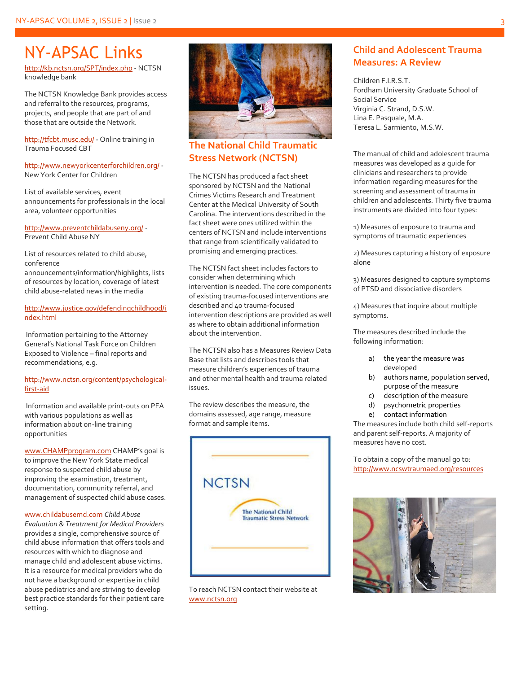# NY-APSAC Links

<http://kb.nctsn.org/SPT/index.php> - NCTSN knowledge bank

The NCTSN Knowledge Bank provides access and referral to the resources, programs, projects, and people that are part of and those that are outside the Network.

<http://tfcbt.musc.edu/> - Online training in Trauma Focused CBT

<http://www.newyorkcenterforchildren.org/> - New York Center for Children

List of available services, event announcements for professionals in the local area, volunteer opportunities

<http://www.preventchildabuseny.org/> - Prevent Child Abuse NY

List of resources related to child abuse, conference announcements/information/highlights, lists of resources by location, coverage of latest child abuse-related news in the media

#### [http://www.justice.gov/defendingchildhood/i](http://www.justice.gov/defendingchildhood/index.html) [ndex.html](http://www.justice.gov/defendingchildhood/index.html)

Information pertaining to the Attorney General's National Task Force on Children Exposed to Violence – final reports and recommendations, e.g.

#### [http://www.nctsn.org/content/psychological](http://www.nctsn.org/content/psychological-first-aid)[first-aid](http://www.nctsn.org/content/psychological-first-aid)

Information and available print-outs on PFA with various populations as well as information about on-line training opportunities

[www.CHAMPprogram.com](http://www.champprogram.com/) CHAMP's goal is to improve the New York State medical response to suspected child abuse by improving the examination, treatment, documentation, community referral, and management of suspected child abuse cases.

[www.childabusemd.com](http://www.childabusemd.com/) *Child Abuse Evaluation* & *Treatment for Medical Providers* provides a single, comprehensive source of child abuse information that offers tools and resources with which to diagnose and manage child and adolescent abuse victims. It is a resource for medical providers who do not have a background or expertise in child abuse pediatrics and are striving to develop best practice standards for their patient care setting.



# **The National Child Traumatic Stress Network (NCTSN)**

The NCTSN has produced a fact sheet sponsored by NCTSN and the National Crimes Victims Research and Treatment Center at the Medical University of South Carolina. The interventions described in the fact sheet were ones utilized within the centers of NCTSN and include interventions that range from scientifically validated to promising and emerging practices.

The NCTSN fact sheet includes factors to consider when determining which intervention is needed. The core components of existing trauma-focused interventions are described and 40 trauma-focused intervention descriptions are provided as well as where to obtain additional information about the intervention.

The NCTSN also has a Measures Review Data Base that lists and describes tools that measure children's experiences of trauma and other mental health and trauma related issues.

The review describes the measure, the domains assessed, age range, measure format and sample items.



To reach NCTSN contact their website at [www.nctsn.org](http://www.nctsn.org/)

# **Child and Adolescent Trauma Measures: A Review**

Children F.I.R.S.T. Fordham University Graduate School of Social Service Virginia C. Strand, D.S.W. Lina E. Pasquale, M.A. Teresa L. Sarmiento, M.S.W.

The manual of child and adolescent trauma measures was developed as a guide for clinicians and researchers to provide information regarding measures for the screening and assessment of trauma in children and adolescents. Thirty five trauma instruments are divided into four types:

1) Measures of exposure to trauma and symptoms of traumatic experiences

2) Measures capturing a history of exposure alone

3) Measures designed to capture symptoms of PTSD and dissociative disorders

4) Measures that inquire about multiple symptoms.

The measures described include the following information:

- a) the year the measure was developed
- b) authors name, population served, purpose of the measure
- c) description of the measure
- d) psychometric properties
- e) contact information

The measures include both child self-reports and parent self-reports. A majority of measures have no cost.

To obtain a copy of the manual go to: <http://www.ncswtraumaed.org/resources>

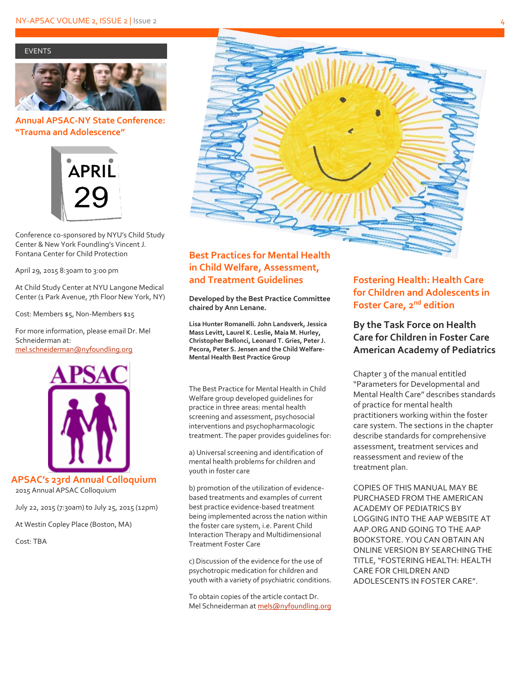#### EVENTS



### **Annual APSAC-NY State Conference: "Trauma and Adolescence"**



Conference co-sponsored by NYU's Child Study Center & New York Foundling's Vincent J. Fontana Center for Child Protection

April 29, 2015 8:30am to 3:00 pm

At Child Study Center at NYU Langone Medical Center (1 Park Avenue, 7th Floor New York, NY)

Cost: Members \$5, Non-Members \$15

For more information, please email Dr. Mel Schneiderman at: <mel.schneiderman@nyfoundling.org>



**APSAC's 23rd Annual Colloquium**

2015 Annual APSAC Colloquium

July 22, 2015 (7:30am) to July 25, 2015 (12pm)

At Westin Copley Place (Boston, MA)

Cost: TBA



# **Best Practices for Mental Health in Child Welfare, Assessment, and Treatment Guidelines**

**Developed by the Best Practice Committee chaired by Ann Lenane.**

**Lisa Hunter Romanelli. John Landsverk, Jessica Mass Levitt, Laurel K. Leslie, Maia M. Hurley, Christopher Bellonci, Leonard T. Gries, Peter J. Pecora, Peter S. Jensen and the Child Welfare-Mental Health Best Practice Group**

The Best Practice for Mental Health in Child Welfare group developed guidelines for practice in three areas: mental health screening and assessment, psychosocial interventions and psychopharmacologic treatment. The paper provides guidelines for:

a) Universal screening and identification of mental health problems for children and youth in foster care

b) promotion of the utilization of evidencebased treatments and examples of current best practice evidence-based treatment being implemented across the nation within the foster care system, i.e. Parent Child Interaction Therapy and Multidimensional Treatment Foster Care

c) Discussion of the evidence for the use of psychotropic medication for children and youth with a variety of psychiatric conditions.

To obtain copies of the article contact Dr. Mel Schneiderman a[t mels@nyfoundling.org](mailto:mels@nyfoundling.org)

# **Fostering Health: Health Care for Children and Adolescents in Foster Care, 2nd edition**

**By the Task Force on Health Care for Children in Foster Care American Academy of Pediatrics** 

Chapter 3 of the manual entitled "Parameters for Developmental and Mental Health Care" describes standards of practice for mental health practitioners working within the foster care system. The sections in the chapter describe standards for comprehensive assessment, treatment services and reassessment and review of the treatment plan.

COPIES OF THIS MANUAL MAY BE PURCHASED FROM THE AMERICAN ACADEMY OF PEDIATRICS BY LOGGING INTO THE AAP WEBSITE AT AAP.ORG AND GOING TO THE AAP BOOKSTORE. YOU CAN OBTAIN AN ONLINE VERSION BY SEARCHING THE TITLE, "FOSTERING HEALTH: HEALTH CARE FOR CHILDREN AND ADOLESCENTS IN FOSTER CARE".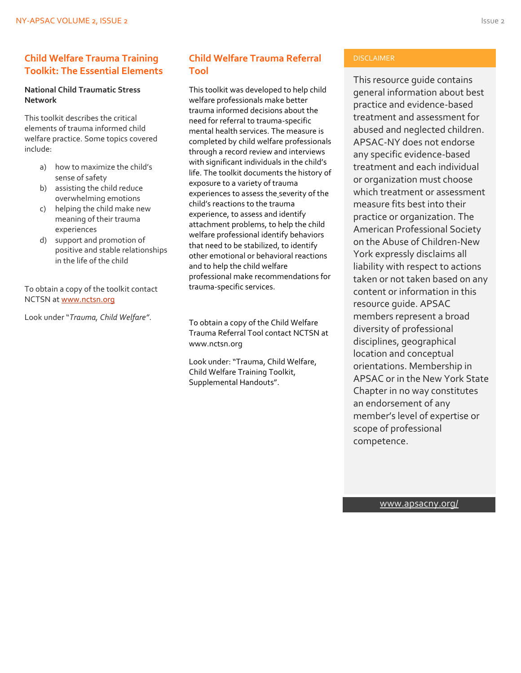### **Child Welfare Trauma Training Toolkit: The Essential Elements**

### **National Child Traumatic Stress Network**

This toolkit describes the critical elements of trauma informed child welfare practice. Some topics covered include:

- a) how to maximize the child's sense of safety
- b) assisting the child reduce overwhelming emotions
- c) helping the child make new meaning of their trauma experiences
- d) support and promotion of positive and stable relationships in the life of the child

To obtain a copy of the toolkit contact NCTSN a[t www.nctsn.org](http://www.nctsn.org/)

Look under "*Trauma, Child Welfare"*.

# **Child Welfare Trauma Referral Tool**

This toolkit was developed to help child welfare professionals make better trauma informed decisions about the need for referral to trauma-specific mental health services. The measure is completed by child welfare professionals through a record review and interviews with significant individuals in the child's life. The toolkit documents the history of exposure to a variety of trauma experiences to assess the severity of the child's reactions to the trauma experience, to assess and identify attachment problems, to help the child welfare professional identify behaviors that need to be stabilized, to identify other emotional or behavioral reactions and to help the child welfare professional make recommendations for trauma-specific services.

To obtain a copy of the Child Welfare Trauma Referral Tool contact NCTSN at www.nctsn.org

Look under: "Trauma, Child Welfare, Child Welfare Training Toolkit, Supplemental Handouts".

#### DISCLAIMER

This resource guide contains general information about best practice and evidence-based treatment and assessment for abused and neglected children. APSAC-NY does not endorse any specific evidence-based treatment and each individual or organization must choose which treatment or assessment measure fits best into their practice or organization. The American Professional Society on the Abuse of Children-New York expressly disclaims all liability with respect to actions taken or not taken based on any content or information in this resource guide. APSAC members represent a broad diversity of professional disciplines, geographical location and conceptual orientations. Membership in APSAC or in the New York State Chapter in no way constitutes an endorsement of any member's level of expertise or scope of professional competence.

[www.apsacny.org/](http://www.apsacny.org/)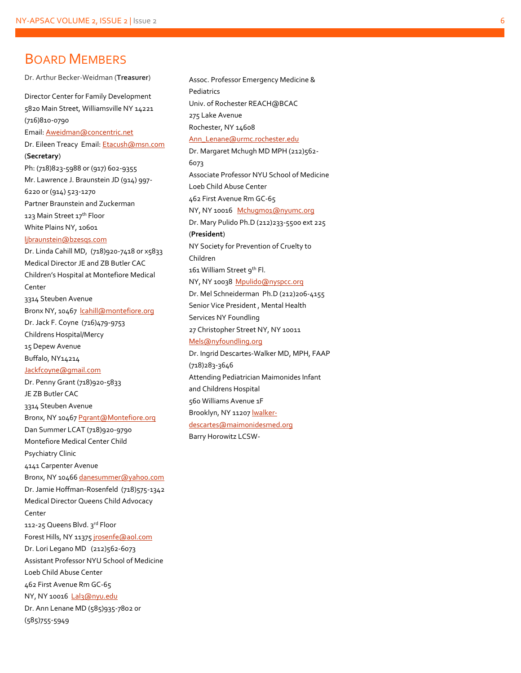# BOARD MEMBERS

Dr. Arthur Becker -Weidman (**Treasurer** ) Director Center for Family Development 5820 Main Street, Williamsville NY 14221 (716)810 -0790 Email[: Aweidman@concentric.net](mailto:Aweidman@concentric.net) Dr. Eileen Treacy Email[: Etacush@msn.com](mailto:Etacush@msn.com) (**Secretary**) Ph: (718)823 -5988 or (917) 602 -9355 Mr. Lawrence J. Braunstein JD (914) 997 - 6220 or (914) 523 -1270 Partner Braunstein and Zuckerman 123 Main Street 17th Floor White Plains NY, 10601 [ljbraunstein@bzesqs.com](mailto:ljbraunstein@bzesqs.com) Dr. Linda Cahill MD, (718)920-7418 or x5833 Medical Director JE and ZB Butler CAC Children's Hospital at Montefiore Medical Center 3314 Steuben Avenue Bronx NY, 10467 |cahill@montefiore.org Dr. Jack F. Coyne (716)479 -9753 Childrens Hospital/Mercy 15 Depew Avenue Buffalo, NY14214 [Jackfcoyne@gmail.com](mailto:Jackfcoyne@gmail.com) Dr. Penny Grant (718)920-5833 JE ZB Butler CAC 3314 Steuben Avenue Bronx, NY 1046[7 Pgrant@Montefiore.org](mailto:Pgrant@Montefiore.org) Dan Summer LCAT (718)920 -9790 Montefiore Medical Center Child Psychiatry Clinic 4141 Carpenter Avenue Bronx, NY 1046[6 danesummer@yahoo.com](mailto:danesummer@yahoo.com) Dr. Jamie Hoffman -Rosenfeld (718)575 -1342 Medical Director Queens Child Advocacy Center 112-25 Queens Blvd. 3rd Floor Forest Hills, NY 11375 [jrosenfe@aol.com](mailto:jrosenfe@aol.com) Dr. Lori Legano MD (212)562 -6073 Assistant Professor NYU School of Medicine Loeb Child Abuse Center 462 First Avenue Rm GC -65 NY, NY 10016 [Lal3@nyu.edu](mailto:Lal3@nyu.edu) Dr. Ann Lenane MD (585)935 -7802 or (585)755 -5949

Assoc. Professor Emergency Medicine & Pediatrics Univ. of Rochester REACH@BCAC 275 Lake Avenue Rochester, NY 14608 [Ann\\_Lenane@urmc.rochester.edu](mailto:Ann_Lenane@urmc.rochester.edu) Dr. Margaret Mchugh MD MPH (212)562 - 6073 Associate Professor NYU School of Medicine Loeb Child Abuse Center 462 First Avenue Rm GC -65 NY, NY 10016 [Mchugm01@nyumc.org](mailto:Mchugm01@nyumc.org) Dr. Mary Pulido Ph.D (212)233 -5500 ext 225 (**President** ) NY Society for Prevention of Cruelty to Children 161 William Street 9th Fl. NY, NY 10038 [Mpulido@nyspcc.org](mailto:Mpulido@nyspcc.org) Dr. Mel Schneiderman Ph.D (212)206 -4155 Senior Vice President , Mental Health Services NY Foundling 27 Christopher Street NY, NY 10011 [Mels@nyfoundling.org](mailto:Mels@nyfoundling.org) Dr. Ingrid Descartes -Walker MD, MPH, FAAP (718)283 -3646 Attending Pediatrician Maimonides Infant and Childrens Hospital 560 Williams Avenue 1F Brooklyn, NY 11207 <u>lwalker-</u> [descartes@maimonidesmed.org](mailto:lwalker-descartes@maimonidesmed.org) Barry Horowitz LCSW -